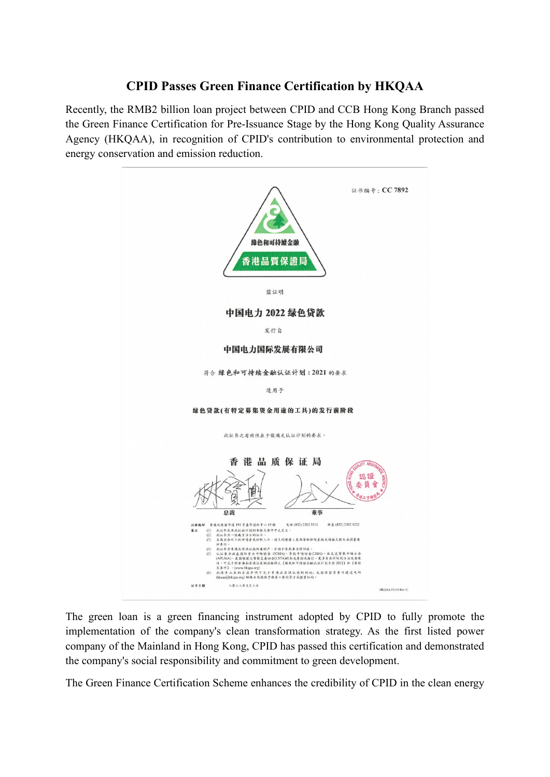## **CPID Passes Green Finance Certification by HKQAA**

Recently, the RMB2 billion loan project between CPID and CCB Hong Kong Branch passed the Green Finance Certification for Pre-Issuance Stage by the Hong Kong Quality Assurance Agency (HKQAA), in recognition of CPID's contribution to environmental protection and energy conservation and emission reduction.



The green loan is a green financing instrument adopted by CPID to fully promote the implementation of the company's clean transformation strategy. As the first listed power company of the Mainland in Hong Kong, CPID has passed this certification and demonstrated the company's social responsibility and commitment to green development.

The Green Finance Certification Scheme enhances the credibility of CPID in the clean energy